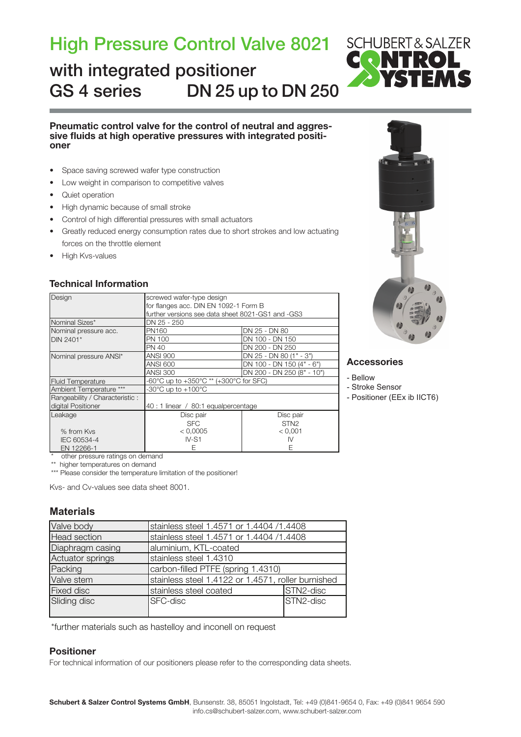## High Pressure Control Valve 8021

## GS 4 series DN 25 up to DN 250 with integrated positioner



# Pneumatic control valve for the control of neutral and aggres-<br>sive fluids at high operative pressures with integrated positi-<br>oner

- • Space saving screwed wafer type construction
- Low weight in comparison to competitive valves
- Quiet operation
- • High dynamic because of small stroke
- Control of high differential pressures with small actuators
- Greatly reduced energy consumption rates due to short strokes and low actuating forces on the throttle element
- High Kys-values

### Technical Information

| Design                         | screwed wafer-type design                         |                            |  |  |  |  |  |  |
|--------------------------------|---------------------------------------------------|----------------------------|--|--|--|--|--|--|
|                                | for flanges acc. DIN EN 1092-1 Form B             |                            |  |  |  |  |  |  |
|                                | further versions see data sheet 8021-GS1 and -GS3 |                            |  |  |  |  |  |  |
| Nominal Sizes*                 | DN 25 - 250                                       |                            |  |  |  |  |  |  |
| Nominal pressure acc.          | PN160                                             | DN 25 - DN 80              |  |  |  |  |  |  |
| DIN 2401*                      | PN 100                                            | DN 100 - DN 150            |  |  |  |  |  |  |
|                                | PN 40                                             | DN 200 - DN 250            |  |  |  |  |  |  |
| Nominal pressure ANSI*         | <b>ANSI 900</b>                                   | DN 25 - DN 80 (1" - 3")    |  |  |  |  |  |  |
|                                | ANSI 600                                          | DN 100 - DN 150 (4" - 6")  |  |  |  |  |  |  |
|                                | <b>ANSI 300</b>                                   | DN 200 - DN 250 (8" - 10") |  |  |  |  |  |  |
| <b>Fluid Temperature</b>       | -60°C up to +350°C ** (+300°C for SFC)            |                            |  |  |  |  |  |  |
| Ambient Temperature ***        | -30 $^{\circ}$ C up to +100 $^{\circ}$ C          |                            |  |  |  |  |  |  |
| Rangeability / Characteristic: |                                                   |                            |  |  |  |  |  |  |
| digital Positioner             | 40 : 1 linear / 80:1 equalpercentage              |                            |  |  |  |  |  |  |
| Leakage                        | Disc pair                                         | Disc pair                  |  |  |  |  |  |  |
|                                | <b>SFC</b>                                        | STN <sub>2</sub>           |  |  |  |  |  |  |
| % from Kys                     | < 0,0005                                          | < 0.001                    |  |  |  |  |  |  |
| IEC 60534-4                    | $IV-S1$                                           | IV                         |  |  |  |  |  |  |
| EN 12266-1                     |                                                   |                            |  |  |  |  |  |  |



### **Accessories**

### - Bellow

- Stroke Sensor

- Positioner (EEx ib IICT6)

\* other pressure ratings on demand

\*\* higher temperatures on demand

\*\*\* Please consider the temperature limitation of the positioner!

Kvs- and Cv-values see data sheet 8001.

### **Materials**

| Valve body       | stainless steel 1.4571 or 1.4404 /1.4408           |           |  |  |  |  |
|------------------|----------------------------------------------------|-----------|--|--|--|--|
| Head section     | stainless steel 1.4571 or 1.4404 /1.4408           |           |  |  |  |  |
| Diaphragm casing | aluminium, KTL-coated                              |           |  |  |  |  |
| Actuator springs | stainless steel 1.4310                             |           |  |  |  |  |
| Packing          | carbon-filled PTFE (spring 1.4310)                 |           |  |  |  |  |
| Valve stem       | stainless steel 1.4122 or 1.4571, roller burnished |           |  |  |  |  |
| Fixed disc       | stainless steel coated                             | STN2-disc |  |  |  |  |
| Sliding disc     | SFC-disc                                           | STN2-disc |  |  |  |  |

\*further materials such as hastelloy and inconell on request

### Positioner

For technical information of our positioners please refer to the corresponding data sheets.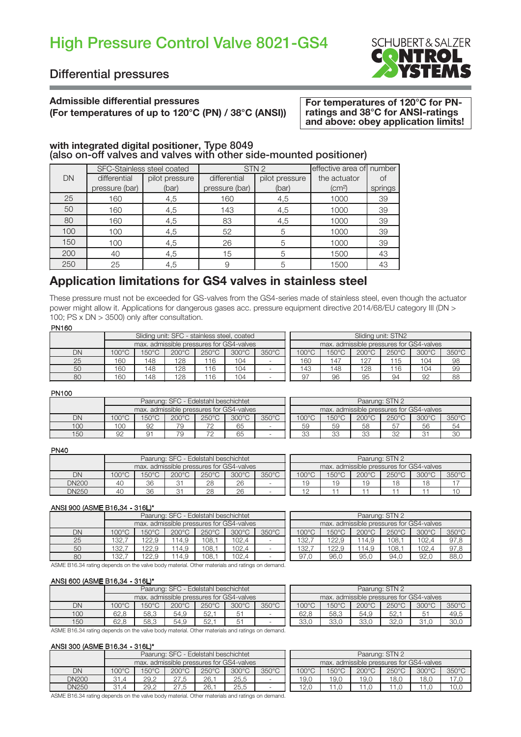## High Pressure Control Valve 8021-GS4



### Differential pressures

### Admissible differential pressures

### (For temperatures of up to 120°C (PN) / 38°C (ANSI))

For temperatures of 120°C for PNratings and 38°C for ANSI-ratings and above: obey application limits!

## with integrated digital positioner, Type 8049<br>(also on-off valves and valves with other side-mounted positioner)

|           |                | SFC-Stainless steel coated |                | STN <sub>2</sub> | effective area of number     |         |
|-----------|----------------|----------------------------|----------------|------------------|------------------------------|---------|
| <b>DN</b> | differential   | pilot pressure             | differential   | pilot pressure   | the actuator                 |         |
|           | pressure (bar) | (bar)                      | pressure (bar) | (bar)            | $\left( \text{cm}^2 \right)$ | springs |
| 25        | 160            | 4,5                        | 160            | 4,5              | 1000                         | 39      |
| 50        | 160            | 4,5                        | 143            | 4,5              | 1000                         | 39      |
| 80        | 160            | 4,5                        | 83             | 4,5              | 1000                         | 39      |
| 100       | 100            | 4,5                        | 52             | 5                | 1000                         | 39      |
| 150       | 100            | 4,5                        | 26             | 5                | 1000                         | 39      |
| 200       | 40             | 4,5                        | 15             | 5                | 1500                         | 43      |
| 250       | 25             | 4,5                        | 9              | 5                | 1500                         | 43      |

### Application limitations for GS4 valves in stainless steel

These pressure must not be exceeded for GS-valves from the GS4-series made of stainless steel, even though the actuator power might allow it. Applications for dangerous gases acc. pressure equipment directive 2014/68/EU category III (DN > 100; PS x DN > 3500) only after consultation.

### PN160

| .  |                                                                                                                |     |     |                                             |     |  |                                          |       |                 |                 |                 |       |  |  |
|----|----------------------------------------------------------------------------------------------------------------|-----|-----|---------------------------------------------|-----|--|------------------------------------------|-------|-----------------|-----------------|-----------------|-------|--|--|
|    |                                                                                                                |     |     | Sliding unit: SFC - stainless steel, coated |     |  | Sliding unit: STN2                       |       |                 |                 |                 |       |  |  |
|    |                                                                                                                |     |     | max, admissible pressures for GS4-valves    |     |  | max. admissible pressures for GS4-valves |       |                 |                 |                 |       |  |  |
| DN | $350^{\circ}$ C<br>$100^{\circ}$ C<br>$150^{\circ}$ C<br>$300^{\circ}$ C<br>$200^{\circ}$ C<br>$250^{\circ}$ C |     |     |                                             |     |  | $100^{\circ}$ C                          | 150°C | $200^{\circ}$ C | $250^{\circ}$ C | $300^{\circ}$ C | 350°C |  |  |
| 25 | 160                                                                                                            | 48  | 128 | 116                                         | 104 |  | 160                                      | 147   | 127             | 15              | 104             | 98    |  |  |
| 50 | 160                                                                                                            | 148 | 128 | 116                                         | 104 |  | 143                                      | 148   | 128             | 116             | 104             | 99    |  |  |
| 80 | 160                                                                                                            | 148 | 128 | 116                                         | 104 |  | 97                                       | 96    | 95              | 94              | 92              | 88    |  |  |

### PN100

| .   |                |                                          |                 |                                      |       |                 |                                          |                 |                 |                 |                 |       |  |
|-----|----------------|------------------------------------------|-----------------|--------------------------------------|-------|-----------------|------------------------------------------|-----------------|-----------------|-----------------|-----------------|-------|--|
|     |                |                                          |                 | Paarung: SFC - Edelstahl beschichtet |       |                 | Paarung: STN 2                           |                 |                 |                 |                 |       |  |
|     |                | max. admissible pressures for GS4-valves |                 |                                      |       |                 | max. admissible pressures for GS4-valves |                 |                 |                 |                 |       |  |
| DN  | $00^{\circ}$ C | $150^{\circ}$ C                          | $200^{\circ}$ C | $250^{\circ}$ C                      | 300°C | $350^{\circ}$ C | $100^{\circ}$ C                          | $150^{\circ}$ C | $200^{\circ}$ C | $250^{\circ}$ C | $300^{\circ}$ C | 350°C |  |
| 100 | 100            | 92                                       | 79              | 70                                   | 65    |                 | 59                                       | 59              | 58              | 57              | 56              | 54    |  |
| 150 | 92             | 91                                       | 79              | 7 <sup>c</sup>                       | 65    |                 | 33                                       | $\Omega$<br>ഄഄ  | 33              | 32              | ∩-              | 30    |  |

#### PN40

| .            |                 |       |                                          |                 |                 |                 |                                          |                 |                 |                 |                 |       |  |
|--------------|-----------------|-------|------------------------------------------|-----------------|-----------------|-----------------|------------------------------------------|-----------------|-----------------|-----------------|-----------------|-------|--|
|              |                 |       | Paarung: SFC - Edelstahl beschichtet     |                 |                 |                 | Paarung: STN 2                           |                 |                 |                 |                 |       |  |
|              |                 |       | max. admissible pressures for GS4-valves |                 |                 |                 | max. admissible pressures for GS4-valves |                 |                 |                 |                 |       |  |
| DN           | $100^{\circ}$ C | 150°C | 200°C                                    | $250^{\circ}$ C | $300^{\circ}$ C | $350^{\circ}$ C | $100^{\circ}$ C                          | $150^{\circ}$ C | $200^{\circ}$ C | $250^{\circ}$ C | $300^{\circ}$ C | 350°C |  |
| <b>DN200</b> | 40              | 36    | 31                                       | 28              | 26              |                 | 19                                       | 19              | 19              | 18              | 18              |       |  |
| <b>DN250</b> | 4C              | 36    | 31                                       | 28              | 26              |                 |                                          |                 |                 |                 |                 | 10    |  |
|              |                 |       |                                          |                 |                 |                 |                                          |                 |                 |                 |                 |       |  |

### ANSI 900 (ASME B16.34 - 316L)\*

|    |                 |                 | Paarung: SFC - Edelstahl beschichtet |                 |                                          |       | Paarung: STN 2                           |  |                 |                 |                 |                 |       |
|----|-----------------|-----------------|--------------------------------------|-----------------|------------------------------------------|-------|------------------------------------------|--|-----------------|-----------------|-----------------|-----------------|-------|
|    |                 |                 |                                      |                 | max, admissible pressures for GS4-valves |       | max. admissible pressures for GS4-valves |  |                 |                 |                 |                 |       |
| DN | $100^{\circ}$ C | $150^{\circ}$ C | $200^{\circ}$ C                      | $250^{\circ}$ C | $300^{\circ}$ C                          | 350°C | $100^{\circ}$ C                          |  | $150^{\circ}$ C | $200^{\circ}$ C | $250^{\circ}$ C | $300^{\circ}$ C | 350°C |
| 25 | 132.7           | 122.9           | ' 14.9                               | 108.            | 102.4                                    |       | 132.7                                    |  | 122.9           | 114.9           | 108.            | 102.4           | 97.8  |
| 50 | 32.             | 122.9           | 14.9                                 | 108.            | 102.4                                    |       | 132.7                                    |  | 122.9           | 114.9           | 108.            | 102.4           | 97.8  |
| 80 | 132.7           | 122.9           | 14.9                                 | 108.1<br>102,4  |                                          |       |                                          |  | 96,0            | 95,0            | 94.0            | 92,0            | 88,0  |

| Paarung: STN 2                           |                 |                 |                 |                 |                 |  |  |  |  |  |  |  |
|------------------------------------------|-----------------|-----------------|-----------------|-----------------|-----------------|--|--|--|--|--|--|--|
| max. admissible pressures for GS4-valves |                 |                 |                 |                 |                 |  |  |  |  |  |  |  |
| $100^{\circ}$ C                          | $150^{\circ}$ C | $200^{\circ}$ C | $250^{\circ}$ C | $300^{\circ}$ C | $350^{\circ}$ C |  |  |  |  |  |  |  |
| 132.7                                    | 122.9           | 114.9           | 108.1           | 102.4           | 97.8            |  |  |  |  |  |  |  |
| 132.7                                    | 122.9           | 114.9           | 108,1           | 102.4           | 97.8            |  |  |  |  |  |  |  |
|                                          | 96.0            | 95.0            | 94.0            | 92.0            | 88.C            |  |  |  |  |  |  |  |

ASME B16.34 rating depends on the valve body material. Other materials and ratings on demand.

### ANSI 600 (ASME B16.34 - 316L)\*

|     |                                    |                |                 | Paarung: SFC - Edelstahl beschichtet |                                          |                 | Paarung: STN 2                           |       |                 |       |                 |                 |  |
|-----|------------------------------------|----------------|-----------------|--------------------------------------|------------------------------------------|-----------------|------------------------------------------|-------|-----------------|-------|-----------------|-----------------|--|
|     |                                    |                |                 |                                      | max, admissible pressures for GS4-valves |                 | max. admissible pressures for GS4-valves |       |                 |       |                 |                 |  |
| DN  | 100°C                              | $50^{\circ}$ C | $200^{\circ}$ C | $250^{\circ}$ C                      | $300^{\circ}$ C                          | $350^{\circ}$ C | $100^{\circ}$ C                          | 150°C | $200^{\circ}$ C | 250°C | $300^{\circ}$ C | $350^{\circ}$ C |  |
| 100 | 62.8<br>58.3<br>54.9<br>51<br>52.1 |                |                 |                                      |                                          |                 | 62.8                                     | 58.3  | 54.9            | 52    | $5^+$           | 49,5            |  |
| 150 | 62.8                               | 58.3           | 54.9            | 52.                                  | 51                                       |                 | 33.0                                     | 33.0  | 33.0            | 32.0  | 31.0            | 30,0            |  |

ASME B16.34 rating depends on the valve body material. Other materials and ratings on demand.

### ANSI 300 (ASME B16.34 - 316L)\*

|              |                 |                             | Paarung: SFC - Edelstahl beschichtet     |                 |                 |                 | Paarung: STN 2                           |       |                 |                 |                 |                 |  |
|--------------|-----------------|-----------------------------|------------------------------------------|-----------------|-----------------|-----------------|------------------------------------------|-------|-----------------|-----------------|-----------------|-----------------|--|
|              |                 |                             | max. admissible pressures for GS4-valves |                 |                 |                 | max. admissible pressures for GS4-valves |       |                 |                 |                 |                 |  |
| DN           | $100^{\circ}$ C | $50^{\circ}$ C              | 200°C                                    | $250^{\circ}$ C | $300^{\circ}$ C | $350^{\circ}$ C | $100^{\circ}$ C                          | 150°C | $200^{\circ}$ C | $250^{\circ}$ C | $300^{\circ}$ C | $350^{\circ}$ C |  |
| <b>DN200</b> | 31.4            | 25.5<br>26.1<br>29.2<br>27. |                                          |                 |                 |                 | 19.0                                     | 19.0  | 19.0            | 18.0            | 18.0            | 17.C            |  |
| DN250        | 31.4            | 29.2                        | 27                                       | 26.1            | 25.5            |                 | 12.0                                     |       |                 |                 |                 | 10.0            |  |

ASME B16.34 rating depends on the valve body material. Other materials and ratings on demand.